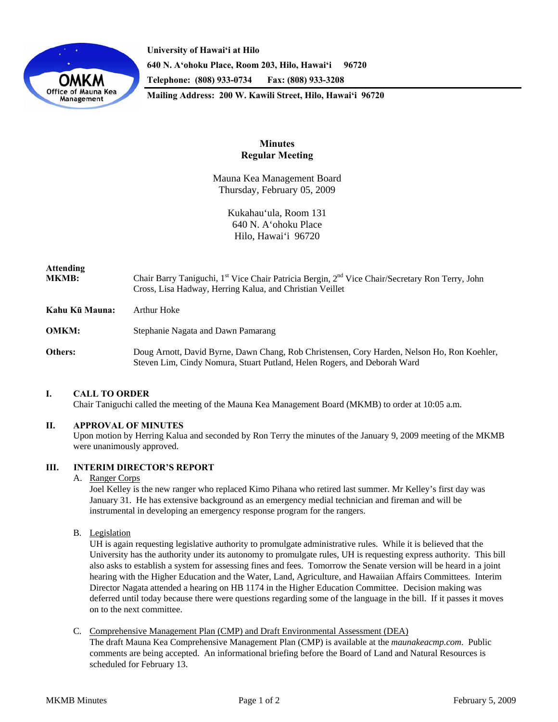

**University of Hawai'i at Hilo 640 N. A'ohoku Place, Room 203, Hilo, Hawai'i 96720 Telephone: (808) 933-0734 Fax: (808) 933-3208 Mailing Address: 200 W. Kawili Street, Hilo, Hawai'i 96720** 

> **Minutes Regular Meeting**

Mauna Kea Management Board Thursday, February 05, 2009

> Kukahau'ula, Room 131 640 N. A'ohoku Place Hilo, Hawai'i 96720

# **Attending**

**MKMB:** Chair Barry Taniguchi, 1<sup>st</sup> Vice Chair Patricia Bergin, 2<sup>nd</sup> Vice Chair/Secretary Ron Terry, John Cross, Lisa Hadway, Herring Kalua, and Christian Veillet

**Kahu Kū Mauna:** Arthur Hoke

**OMKM:** Stephanie Nagata and Dawn Pamarang

**Others:** Doug Arnott, David Byrne, Dawn Chang, Rob Christensen, Cory Harden, Nelson Ho, Ron Koehler, Steven Lim, Cindy Nomura, Stuart Putland, Helen Rogers, and Deborah Ward

## **I. CALL TO ORDER**

Chair Taniguchi called the meeting of the Mauna Kea Management Board (MKMB) to order at 10:05 a.m.

## **II. APPROVAL OF MINUTES**

Upon motion by Herring Kalua and seconded by Ron Terry the minutes of the January 9, 2009 meeting of the MKMB were unanimously approved.

#### **III. INTERIM DIRECTOR'S REPORT**

#### A. Ranger Corps

Joel Kelley is the new ranger who replaced Kimo Pihana who retired last summer. Mr Kelley's first day was January 31. He has extensive background as an emergency medial technician and fireman and will be instrumental in developing an emergency response program for the rangers.

B. Legislation

UH is again requesting legislative authority to promulgate administrative rules. While it is believed that the University has the authority under its autonomy to promulgate rules, UH is requesting express authority. This bill also asks to establish a system for assessing fines and fees. Tomorrow the Senate version will be heard in a joint hearing with the Higher Education and the Water, Land, Agriculture, and Hawaiian Affairs Committees. Interim Director Nagata attended a hearing on HB 1174 in the Higher Education Committee. Decision making was deferred until today because there were questions regarding some of the language in the bill. If it passes it moves on to the next committee.

C. Comprehensive Management Plan (CMP) and Draft Environmental Assessment (DEA) The draft Mauna Kea Comprehensive Management Plan (CMP) is available at the *maunakeacmp.com*. Public comments are being accepted. An informational briefing before the Board of Land and Natural Resources is scheduled for February 13.